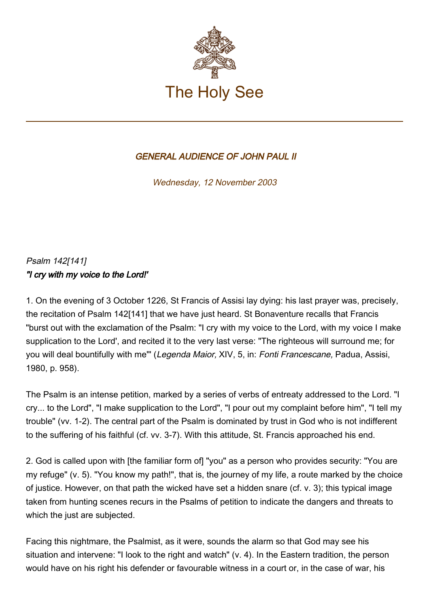

## GENERAL AUDIENCE OF JOHN PAUL II

Wednesday, 12 November 2003

## Psalm 142[141] "I cry with my voice to the Lord!'

1. On the evening of 3 October 1226, St Francis of Assisi lay dying: his last prayer was, precisely, the recitation of Psalm 142[141] that we have just heard. St Bonaventure recalls that Francis "burst out with the exclamation of the Psalm: "I cry with my voice to the Lord, with my voice I make supplication to the Lord', and recited it to the very last verse: "The righteous will surround me; for you will deal bountifully with me'" (Legenda Maior, XIV, 5, in: Fonti Francescane, Padua, Assisi, 1980, p. 958).

The Psalm is an intense petition, marked by a series of verbs of entreaty addressed to the Lord. "I cry... to the Lord", "I make supplication to the Lord", "I pour out my complaint before him", "I tell my trouble" (vv. 1-2). The central part of the Psalm is dominated by trust in God who is not indifferent to the suffering of his faithful (cf. vv. 3-7). With this attitude, St. Francis approached his end.

2. God is called upon with [the familiar form of] "you" as a person who provides security: "You are my refuge" (v. 5). "You know my path!", that is, the journey of my life, a route marked by the choice of justice. However, on that path the wicked have set a hidden snare (cf. v. 3); this typical image taken from hunting scenes recurs in the Psalms of petition to indicate the dangers and threats to which the just are subjected.

Facing this nightmare, the Psalmist, as it were, sounds the alarm so that God may see his situation and intervene: "I look to the right and watch" (v. 4). In the Eastern tradition, the person would have on his right his defender or favourable witness in a court or, in the case of war, his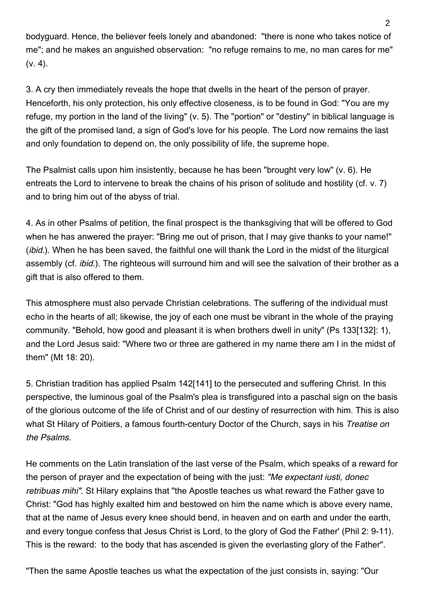bodyguard. Hence, the believer feels lonely and abandoned: "there is none who takes notice of me"; and he makes an anguished observation: "no refuge remains to me, no man cares for me"  $(v. 4)$ .

3. A cry then immediately reveals the hope that dwells in the heart of the person of prayer. Henceforth, his only protection, his only effective closeness, is to be found in God: "You are my refuge, my portion in the land of the living" (v. 5). The "portion" or "destiny" in biblical language is the gift of the promised land, a sign of God's love for his people. The Lord now remains the last and only foundation to depend on, the only possibility of life, the supreme hope.

The Psalmist calls upon him insistently, because he has been "brought very low" (v. 6). He entreats the Lord to intervene to break the chains of his prison of solitude and hostility (cf. v. 7) and to bring him out of the abyss of trial.

4. As in other Psalms of petition, the final prospect is the thanksgiving that will be offered to God when he has anwered the prayer: "Bring me out of prison, that I may give thanks to your name!" (*ibid.*). When he has been saved, the faithful one will thank the Lord in the midst of the liturgical assembly (cf. ibid.). The righteous will surround him and will see the salvation of their brother as a gift that is also offered to them.

This atmosphere must also pervade Christian celebrations. The suffering of the individual must echo in the hearts of all; likewise, the joy of each one must be vibrant in the whole of the praying community. "Behold, how good and pleasant it is when brothers dwell in unity" (Ps 133[132]: 1), and the Lord Jesus said: "Where two or three are gathered in my name there am I in the midst of them" (Mt 18: 20).

5. Christian tradition has applied Psalm 142[141] to the persecuted and suffering Christ. In this perspective, the luminous goal of the Psalm's plea is transfigured into a paschal sign on the basis of the glorious outcome of the life of Christ and of our destiny of resurrection with him. This is also what St Hilary of Poitiers, a famous fourth-century Doctor of the Church, says in his Treatise on the Psalms.

He comments on the Latin translation of the last verse of the Psalm, which speaks of a reward for the person of prayer and the expectation of being with the just: "Me expectant justi, donec retribuas mihi". St Hilary explains that "the Apostle teaches us what reward the Father gave to Christ: "God has highly exalted him and bestowed on him the name which is above every name, that at the name of Jesus every knee should bend, in heaven and on earth and under the earth, and every tongue confess that Jesus Christ is Lord, to the glory of God the Father' (Phil 2: 9-11). This is the reward: to the body that has ascended is given the everlasting glory of the Father".

"Then the same Apostle teaches us what the expectation of the just consists in, saying: "Our